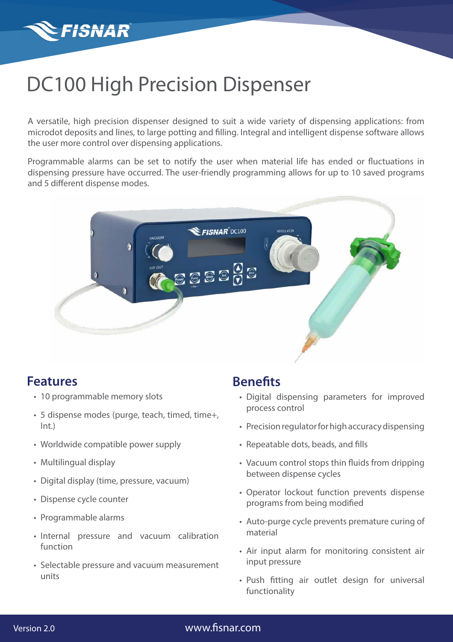

# DC100 High Precision Dispenser

A versatile, high precision dispenser designed to suit a wide variety of dispensing applications: from microdot deposits and lines, to large potting and filling. Integral and intelligent dispense software allows the user more control over dispensing applications.

Programmable alarms can be set to notify the user when material life has ended or fluctuations in dispensing pressure have occurred. The user-friendly programming allows for up to 10 saved programs and 5 different dispense modes.



## **Features**

- 10 programmable memory slots
- 5 dispense modes (purge, teach, timed, time+, Int.)
- Worldwide compatible power supply
- Multilingual display
- Digital display (time, pressure, vacuum)
- Dispense cycle counter
- Programmable alarms
- Internal pressure and vacuum calibration function
- Selectable pressure and vacuum measurement units

## **Benefits**

- Digital dispensing parameters for improved process control
- Precision regulator for high accuracy dispensing
- Repeatable dots, beads, and fills
- Vacuum control stops thin fluids from dripping between dispense cycles
- Operator lockout function prevents dispense programs from being modified
- Auto-purge cycle prevents premature curing of material
- Air input alarm for monitoring consistent air input pressure
- Push fitting air outlet design for universal functionality

### [www.fisnar.com](https://www.fisnar.com/)